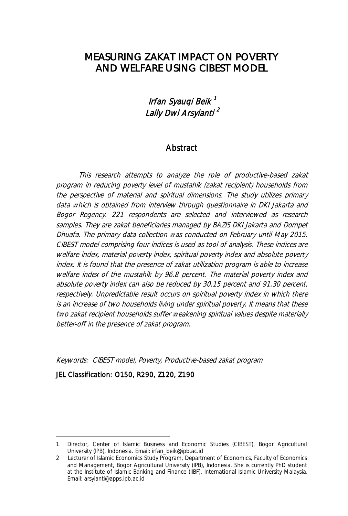### MEASURING ZAKAT IMPACT ON POVERTY AND WELFARE USING CIBEST MODEL

### Irfan Syauqi Beik <sup>1</sup> Laily Dwi Arsylanti <sup>2</sup>

#### **Abstract**

This research attempts to analyze the role of productive-based zakat program in reducing poverty level of mustahik (zakat recipient) households from the perspective of material and spiritual dimensions. The study utilizes primary data which is obtained from interview through questionnaire in DKI Jakarta and Bogor Regency. 221 respondents are selected and interviewed as research samples. They are zakat beneficiaries managed by BAZIS DKI Jakarta and Dompet Dhuafa. The primary data collection was conducted on February until May 2015. CIBEST model comprising four indices is used as tool of analysis. These indices are welfare index, material poverty index, spiritual poverty index and absolute poverty index. It is found that the presence of zakat utilization program is able to increase welfare index of the mustahik by 96.8 percent. The material poverty index and absolute poverty index can also be reduced by 30.15 percent and 91.30 percent, respectively. Unpredictable result occurs on spiritual poverty index in which there is an increase of two households living under spiritual poverty. It means that these two zakat recipient households suffer weakening spiritual values despite materially better-off in the presence of zakat program.

Keywords: CIBEST model, Poverty, Productive-based zakat program

JEL Classification: O150, R290, Z120, Z190

1

<sup>1</sup> Director, Center of Islamic Business and Economic Studies (CIBEST), Bogor Agricultural University (IPB), Indonesia. Email: irfan\_beik@ipb.ac.id

<sup>2</sup> Lecturer of Islamic Economics Study Program, Department of Economics, Faculty of Economics and Management, Bogor Agricultural University (IPB), Indonesia. She is currently PhD student at the Institute of Islamic Banking and Finance (IIBF), International Islamic University Malaysia. Email: arsyianti@apps.ipb.ac.id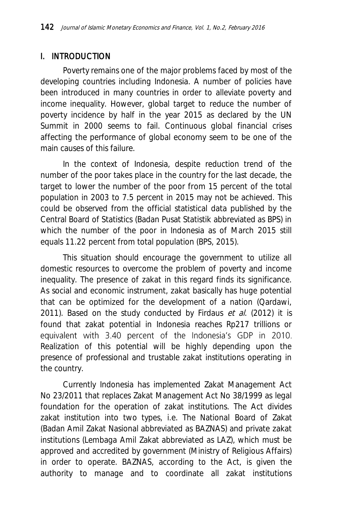#### I. INTRODUCTION

Poverty remains one of the major problems faced by most of the developing countries including Indonesia. A number of policies have been introduced in many countries in order to alleviate poverty and income inequality. However, global target to reduce the number of poverty incidence by half in the year 2015 as declared by the UN Summit in 2000 seems to fail. Continuous global financial crises affecting the performance of global economy seem to be one of the main causes of this failure.

In the context of Indonesia, despite reduction trend of the number of the poor takes place in the country for the last decade, the target to lower the number of the poor from 15 percent of the total population in 2003 to 7.5 percent in 2015 may not be achieved. This could be observed from the official statistical data published by the Central Board of Statistics (Badan Pusat Statistik abbreviated as BPS) in which the number of the poor in Indonesia as of March 2015 still equals 11.22 percent from total population (BPS, 2015).

This situation should encourage the government to utilize all domestic resources to overcome the problem of poverty and income inequality. The presence of zakat in this regard finds its significance. As social and economic instrument, zakat basically has huge potential that can be optimized for the development of a nation (Qardawi, 2011). Based on the study conducted by Firdaus et al. (2012) it is found that zakat potential in Indonesia reaches Rp217 trillions or equivalent with 3.40 percent of the Indonesia's GDP in 2010. Realization of this potential will be highly depending upon the presence of professional and trustable zakat institutions operating in the country.

Currently Indonesia has implemented Zakat Management Act No 23/2011 that replaces Zakat Management Act No 38/1999 as legal foundation for the operation of zakat institutions. The Act divides zakat institution into two types, i.e. The National Board of Zakat (Badan Amil Zakat Nasional abbreviated as BAZNAS) and private zakat institutions (Lembaga Amil Zakat abbreviated as LAZ), which must be approved and accredited by government (Ministry of Religious Affairs) in order to operate. BAZNAS, according to the Act, is given the authority to manage and to coordinate all zakat institutions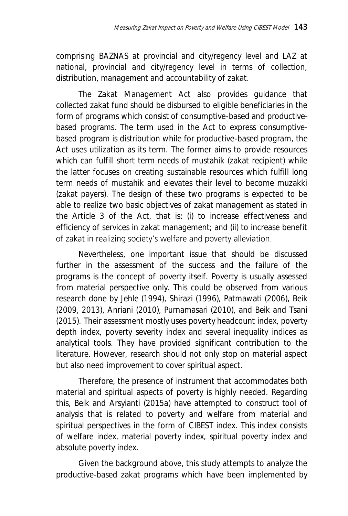comprising BAZNAS at provincial and city/regency level and LAZ at national, provincial and city/regency level in terms of collection, distribution, management and accountability of zakat.

The Zakat Management Act also provides guidance that collected zakat fund should be disbursed to eligible beneficiaries in the form of programs which consist of consumptive-based and productivebased programs. The term used in the Act to express consumptivebased program is distribution while for productive-based program, the Act uses utilization as its term. The former aims to provide resources which can fulfill short term needs of mustahik (zakat recipient) while the latter focuses on creating sustainable resources which fulfill long term needs of mustahik and elevates their level to become muzakki (zakat payers). The design of these two programs is expected to be able to realize two basic objectives of zakat management as stated in the Article 3 of the Act, that is: (i) to increase effectiveness and efficiency of services in zakat management; and (ii) to increase benefit of zakat in realizing society's welfare and poverty alleviation.

Nevertheless, one important issue that should be discussed further in the assessment of the success and the failure of the programs is the concept of poverty itself. Poverty is usually assessed from material perspective only. This could be observed from various research done by Jehle (1994), Shirazi (1996), Patmawati (2006), Beik (2009, 2013), Anriani (2010), Purnamasari (2010), and Beik and Tsani (2015). Their assessment mostly uses poverty headcount index, poverty depth index, poverty severity index and several inequality indices as analytical tools. They have provided significant contribution to the literature. However, research should not only stop on material aspect but also need improvement to cover spiritual aspect.

Therefore, the presence of instrument that accommodates both material and spiritual aspects of poverty is highly needed. Regarding this, Beik and Arsyianti (2015a) have attempted to construct tool of analysis that is related to poverty and welfare from material and spiritual perspectives in the form of CIBEST index. This index consists of welfare index, material poverty index, spiritual poverty index and absolute poverty index.

Given the background above, this study attempts to analyze the productive-based zakat programs which have been implemented by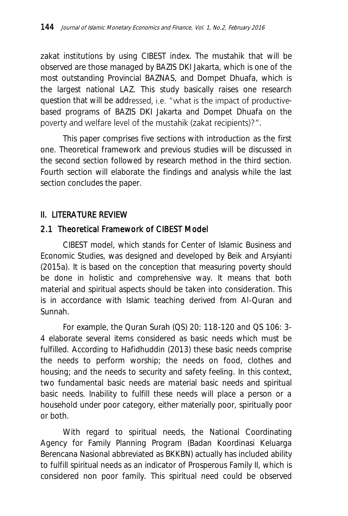zakat institutions by using CIBEST index. The mustahik that will be observed are those managed by BAZIS DKI Jakarta, which is one of the most outstanding Provincial BAZNAS, and Dompet Dhuafa, which is the largest national LAZ. This study basically raises one research question that will be addressed, i.e. "what is the impact of productivebased programs of BAZIS DKI Jakarta and Dompet Dhuafa on the poverty and welfare level of the mustahik (zakat recipients)?".

This paper comprises five sections with introduction as the first one. Theoretical framework and previous studies will be discussed in the second section followed by research method in the third section. Fourth section will elaborate the findings and analysis while the last section concludes the paper.

#### II. LITERATURE REVIEW

### 2.1 Theoretical Framework of CIBEST Model

CIBEST model, which stands for Center of Islamic Business and Economic Studies, was designed and developed by Beik and Arsyianti (2015a). It is based on the conception that measuring poverty should be done in holistic and comprehensive way. It means that both material and spiritual aspects should be taken into consideration. This is in accordance with Islamic teaching derived from Al-Quran and Sunnah.

For example, the Quran Surah (QS) 20: 118-120 and QS 106: 3- 4 elaborate several items considered as basic needs which must be fulfilled. According to Hafidhuddin (2013) these basic needs comprise the needs to perform worship; the needs on food, clothes and housing; and the needs to security and safety feeling. In this context, two fundamental basic needs are material basic needs and spiritual basic needs. Inability to fulfill these needs will place a person or a household under poor category, either materially poor, spiritually poor or both.

With regard to spiritual needs, the National Coordinating Agency for Family Planning Program (Badan Koordinasi Keluarga Berencana Nasional abbreviated as BKKBN) actually has included ability to fulfill spiritual needs as an indicator of Prosperous Family II, which is considered non poor family. This spiritual need could be observed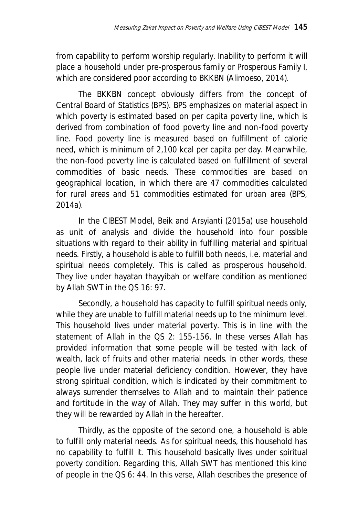from capability to perform worship regularly. Inability to perform it will place a household under pre-prosperous family or Prosperous Family I, which are considered poor according to BKKBN (Alimoeso, 2014).

The BKKBN concept obviously differs from the concept of Central Board of Statistics (BPS). BPS emphasizes on material aspect in which poverty is estimated based on per capita poverty line, which is derived from combination of food poverty line and non-food poverty line. Food poverty line is measured based on fulfillment of calorie need, which is minimum of 2,100 kcal per capita per day. Meanwhile, the non-food poverty line is calculated based on fulfillment of several commodities of basic needs. These commodities are based on geographical location, in which there are 47 commodities calculated for rural areas and 51 commodities estimated for urban area (BPS, 2014a).

In the CIBEST Model, Beik and Arsyianti (2015a) use household as unit of analysis and divide the household into four possible situations with regard to their ability in fulfilling material and spiritual needs. Firstly, a household is able to fulfill both needs, i.e. material and spiritual needs completely. This is called as prosperous household. They live under hayatan thayyibah or welfare condition as mentioned by Allah SWT in the QS 16: 97.

Secondly, a household has capacity to fulfill spiritual needs only, while they are unable to fulfill material needs up to the minimum level. This household lives under material poverty. This is in line with the statement of Allah in the QS 2: 155-156. In these verses Allah has provided information that some people will be tested with lack of wealth, lack of fruits and other material needs. In other words, these people live under material deficiency condition. However, they have strong spiritual condition, which is indicated by their commitment to always surrender themselves to Allah and to maintain their patience and fortitude in the way of Allah. They may suffer in this world, but they will be rewarded by Allah in the hereafter.

Thirdly, as the opposite of the second one, a household is able to fulfill only material needs. As for spiritual needs, this household has no capability to fulfill it. This household basically lives under spiritual poverty condition. Regarding this, Allah SWT has mentioned this kind of people in the QS 6: 44. In this verse, Allah describes the presence of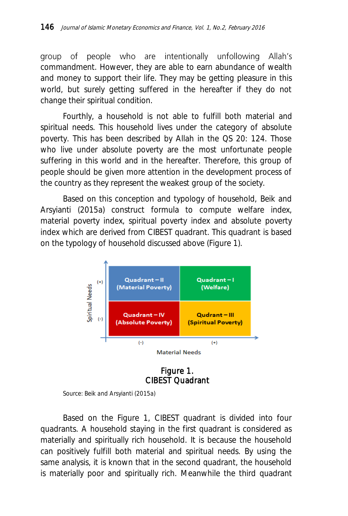group of people who are intentionally unfollowing Allah's commandment. However, they are able to earn abundance of wealth and money to support their life. They may be getting pleasure in this world, but surely getting suffered in the hereafter if they do not change their spiritual condition.

Fourthly, a household is not able to fulfill both material and spiritual needs. This household lives under the category of absolute poverty. This has been described by Allah in the QS 20: 124. Those who live under absolute poverty are the most unfortunate people suffering in this world and in the hereafter. Therefore, this group of people should be given more attention in the development process of the country as they represent the weakest group of the society.

Based on this conception and typology of household, Beik and Arsyianti (2015a) construct formula to compute welfare index, material poverty index, spiritual poverty index and absolute poverty index which are derived from CIBEST quadrant. This quadrant is based on the typology of household discussed above (Figure 1).



Figure 1. CIBEST Quadrant

Source: Beik and Arsyianti (2015a)

Based on the Figure 1, CIBEST quadrant is divided into four quadrants. A household staying in the first quadrant is considered as materially and spiritually rich household. It is because the household can positively fulfill both material and spiritual needs. By using the same analysis, it is known that in the second quadrant, the household is materially poor and spiritually rich. Meanwhile the third quadrant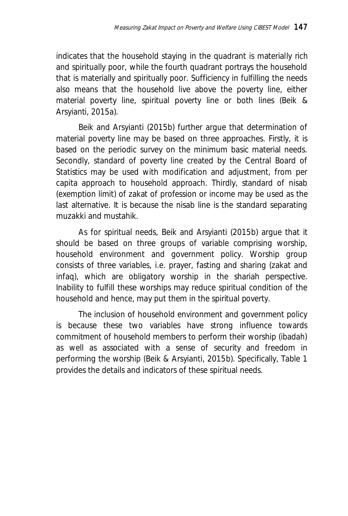indicates that the household staying in the quadrant is materially rich and spiritually poor, while the fourth quadrant portrays the household that is materially and spiritually poor. Sufficiency in fulfilling the needs also means that the household live above the poverty line, either material poverty line, spiritual poverty line or both lines (Beik & Arsyianti, 2015a).

Beik and Arsyianti (2015b) further argue that determination of material poverty line may be based on three approaches. Firstly, it is based on the periodic survey on the minimum basic material needs. Secondly, standard of poverty line created by the Central Board of Statistics may be used with modification and adjustment, from per capita approach to household approach. Thirdly, standard of nisab (exemption limit) of zakat of profession or income may be used as the last alternative. It is because the nisab line is the standard separating muzakki and mustahik.

As for spiritual needs, Beik and Arsyianti (2015b) argue that it should be based on three groups of variable comprising worship, household environment and government policy. Worship group consists of three variables, i.e. prayer, fasting and sharing (zakat and infaq), which are obligatory worship in the shariah perspective. Inability to fulfill these worships may reduce spiritual condition of the household and hence, may put them in the spiritual poverty.

The inclusion of household environment and government policy is because these two variables have strong influence towards commitment of household members to perform their worship (ibadah) as well as associated with a sense of security and freedom in performing the worship (Beik & Arsyianti, 2015b). Specifically, Table 1 provides the details and indicators of these spiritual needs.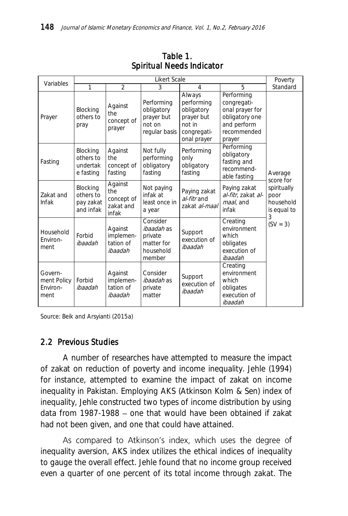| Variables                                  | Likert Scale                                    |                                                    |                                                                               |                                                                                          |                                                                                                        |                                                      |  |
|--------------------------------------------|-------------------------------------------------|----------------------------------------------------|-------------------------------------------------------------------------------|------------------------------------------------------------------------------------------|--------------------------------------------------------------------------------------------------------|------------------------------------------------------|--|
|                                            | 1                                               | $\overline{2}$                                     | 3                                                                             | 4                                                                                        | 5                                                                                                      | Standard                                             |  |
| Prayer                                     | Blocking<br>others to<br>pray                   | Against<br>the<br>concept of<br>prayer             | Performing<br>obligatory<br>prayer but<br>not on<br>regular basis             | Always<br>performing<br>obligatory<br>prayer but<br>not in<br>congregati-<br>onal prayer | Performing<br>congregati-<br>onal prayer for<br>obligatory one<br>and perform<br>recommended<br>prayer |                                                      |  |
| Fasting                                    | Blocking<br>others to<br>undertak<br>e fasting  | Against<br>the<br>concept of<br>fasting            | Not fully<br>performing<br>obligatory<br>fasting                              | Performing<br>only<br>obligatory<br>fasting                                              | Performing<br>obligatory<br>fasting and<br>recommend-<br>able fasting                                  | Average<br>score for                                 |  |
| Zakat and<br><b>Infak</b>                  | Blocking<br>others to<br>pay zakat<br>and infak | Against<br>the<br>concept of<br>zakat and<br>infak | Not paying<br>infak at<br>least once in<br>a year                             | Paying zakat<br>al-fitr and<br>zakat al-maal                                             | Paying zakat<br>al-fitr, zakat al-<br>maal, and<br>infak                                               | spiritually<br>poor<br>household<br>is equal to<br>3 |  |
| Household<br>Fnviron-<br>ment              | Forbid<br>ibaadah                               | Against<br>implemen-<br>tation of<br>ibaadah       | Consider<br><i>ibaadah</i> as<br>private<br>matter for<br>household<br>member | Support<br>execution of<br>ibaadah                                                       | Creating<br>environment<br>which<br>obligates<br>execution of<br>ibaadah                               | $(SV = 3)$                                           |  |
| Govern-<br>ment Policy<br>Fnviron-<br>ment | Forbid<br>ibaadah                               | Against<br>implemen-<br>tation of<br>ibaadah       | Consider<br><i>ibaadah</i> as<br>private<br>matter                            | Support<br>execution of<br>ibaadah                                                       | Creating<br>environment<br>which<br>obligates<br>execution of<br>ibaadah                               |                                                      |  |

Table 1. Spiritual Needs Indicator

Source: Beik and Arsyianti (2015a)

#### 2.2 Previous Studies

A number of researches have attempted to measure the impact of zakat on reduction of poverty and income inequality. Jehle (1994) for instance, attempted to examine the impact of zakat on income inequality in Pakistan. Employing AKS (Atkinson Kolm & Sen) index of inequality, Jehle constructed two types of income distribution by using data from  $1987-1988$  – one that would have been obtained if zakat had not been given, and one that could have attained.

As compared to Atkinson's index, which uses the degree of inequality aversion, AKS index utilizes the ethical indices of inequality to gauge the overall effect. Jehle found that no income group received even a quarter of one percent of its total income through zakat. The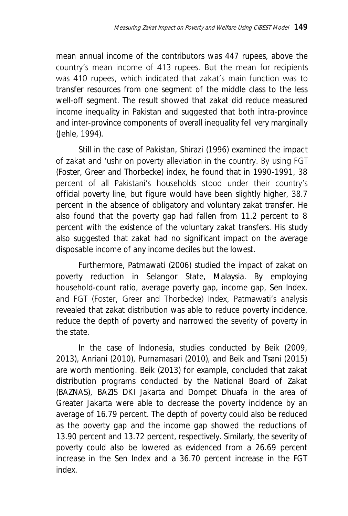mean annual income of the contributors was 447 rupees, above the country's mean income of 413 rupees. But the mean for recipients was 410 rupees, which indicated that zakat's main function was to transfer resources from one segment of the middle class to the less well-off segment. The result showed that zakat did reduce measured income inequality in Pakistan and suggested that both intra-province and inter-province components of overall inequality fell very marginally (Jehle, 1994).

Still in the case of Pakistan, Shirazi (1996) examined the impact of zakat and 'ushr on poverty alleviation in the country. By using FGT (Foster, Greer and Thorbecke) index, he found that in 1990-1991, 38 percent of all Pakistani's households stood under their country's official poverty line, but figure would have been slightly higher, 38.7 percent in the absence of obligatory and voluntary zakat transfer. He also found that the poverty gap had fallen from 11.2 percent to 8 percent with the existence of the voluntary zakat transfers. His study also suggested that zakat had no significant impact on the average disposable income of any income deciles but the lowest.

Furthermore, Patmawati (2006) studied the impact of zakat on poverty reduction in Selangor State, Malaysia. By employing household-count ratio, average poverty gap, income gap, Sen Index, and FGT (Foster, Greer and Thorbecke) Index, Patmawati's analysis revealed that zakat distribution was able to reduce poverty incidence, reduce the depth of poverty and narrowed the severity of poverty in the state.

In the case of Indonesia, studies conducted by Beik (2009, 2013), Anriani (2010), Purnamasari (2010), and Beik and Tsani (2015) are worth mentioning. Beik (2013) for example, concluded that zakat distribution programs conducted by the National Board of Zakat (BAZNAS), BAZIS DKI Jakarta and Dompet Dhuafa in the area of Greater Jakarta were able to decrease the poverty incidence by an average of 16.79 percent. The depth of poverty could also be reduced as the poverty gap and the income gap showed the reductions of 13.90 percent and 13.72 percent, respectively. Similarly, the severity of poverty could also be lowered as evidenced from a 26.69 percent increase in the Sen Index and a 36.70 percent increase in the FGT index.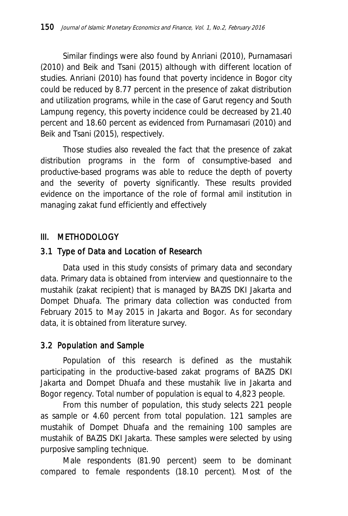Similar findings were also found by Anriani (2010), Purnamasari (2010) and Beik and Tsani (2015) although with different location of studies. Anriani (2010) has found that poverty incidence in Bogor city could be reduced by 8.77 percent in the presence of zakat distribution and utilization programs, while in the case of Garut regency and South Lampung regency, this poverty incidence could be decreased by 21.40 percent and 18.60 percent as evidenced from Purnamasari (2010) and Beik and Tsani (2015), respectively.

Those studies also revealed the fact that the presence of zakat distribution programs in the form of consumptive-based and productive-based programs was able to reduce the depth of poverty and the severity of poverty significantly. These results provided evidence on the importance of the role of formal amil institution in managing zakat fund efficiently and effectively

### III. METHODOLOGY

### 3.1 Type of Data and Location of Research

Data used in this study consists of primary data and secondary data. Primary data is obtained from interview and questionnaire to the mustahik (zakat recipient) that is managed by BAZIS DKI Jakarta and Dompet Dhuafa. The primary data collection was conducted from February 2015 to May 2015 in Jakarta and Bogor. As for secondary data, it is obtained from literature survey.

### 3.2 Population and Sample

Population of this research is defined as the mustahik participating in the productive-based zakat programs of BAZIS DKI Jakarta and Dompet Dhuafa and these mustahik live in Jakarta and Bogor regency. Total number of population is equal to 4,823 people.

From this number of population, this study selects 221 people as sample or 4.60 percent from total population. 121 samples are mustahik of Dompet Dhuafa and the remaining 100 samples are mustahik of BAZIS DKI Jakarta. These samples were selected by using purposive sampling technique.

Male respondents (81.90 percent) seem to be dominant compared to female respondents (18.10 percent). Most of the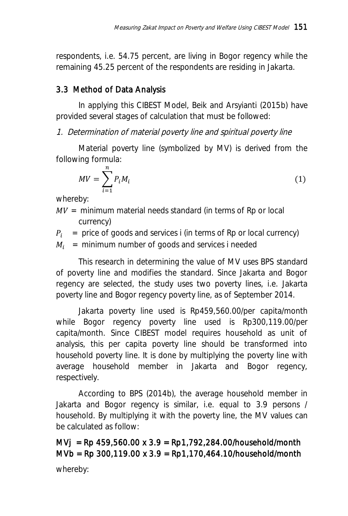respondents, i.e. 54.75 percent, are living in Bogor regency while the remaining 45.25 percent of the respondents are residing in Jakarta.

# 3.3 Method of Data Analysis

In applying this CIBEST Model, Beik and Arsyianti (2015b) have provided several stages of calculation that must be followed:

1. Determination of material poverty line and spiritual poverty line

Material poverty line (symbolized by MV) is derived from the following formula:

$$
MV = \sum_{i=1}^{n} P_i M_i \tag{1}
$$

whereby:

 $MV =$  minimum material needs standard (in terms of Rp or local currency)

 $P_i$  = price of goods and services i (in terms of Rp or local currency)

 $M_i$  = minimum number of goods and services i needed

This research in determining the value of MV uses BPS standard of poverty line and modifies the standard. Since Jakarta and Bogor regency are selected, the study uses two poverty lines, i.e. Jakarta poverty line and Bogor regency poverty line, as of September 2014.

Jakarta poverty line used is Rp459,560.00/per capita/month while Bogor regency poverty line used is Rp300,119.00/per capita/month. Since CIBEST model requires household as unit of analysis, this per capita poverty line should be transformed into household poverty line. It is done by multiplying the poverty line with average household member in Jakarta and Bogor regency, respectively.

According to BPS (2014b), the average household member in Jakarta and Bogor regency is similar, i.e. equal to 3.9 persons / household. By multiplying it with the poverty line, the MV values can be calculated as follow:

MVj = Rp 459,560.00 x 3.9 = Rp1,792,284.00/household/month MVb = Rp 300,119.00 x 3.9 = Rp1,170,464.10/household/month whereby: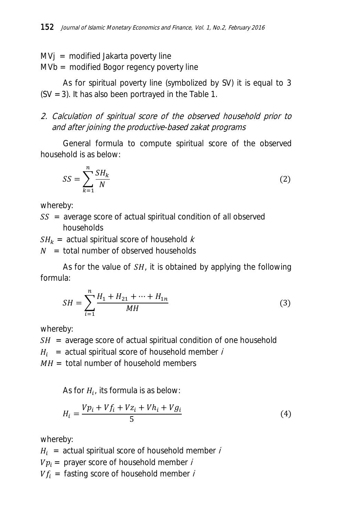$MVj = modified Jakarta powerty line$ 

MVb = modified Bogor regency poverty line

As for spiritual poverty line (symbolized by SV) it is equal to 3 (SV = 3). It has also been portrayed in the Table 1.

2. Calculation of spiritual score of the observed household prior to and after joining the productive-based zakat programs

General formula to compute spiritual score of the observed household is as below:

$$
SS = \sum_{k=1}^{n} \frac{SH_k}{N}
$$
 (2)

whereby:

 $SS$  = average score of actual spiritual condition of all observed households

 $SH_k =$  actual spiritual score of household k

 $N =$  total number of observed households

As for the value of  $SH$ , it is obtained by applying the following formula:

$$
SH = \sum_{i=1}^{n} \frac{H_1 + H_{21} + \dots + H_{1n}}{MH}
$$
 (3)

whereby:

 $SH$  = average score of actual spiritual condition of one household

 $H_i$  = actual spiritual score of household member *i* 

 $MH =$  total number of household members

As for  $H_i$ , its formula is as below:

$$
H_i = \frac{Vp_i + Vf_i + Vz_i + Vh_i + Vg_i}{5}
$$
\n<sup>(4)</sup>

whereby:

 $H_i$  = actual spiritual score of household member i

 $V p_i =$  prayer score of household member i

 $Vf_i =$  fasting score of household member i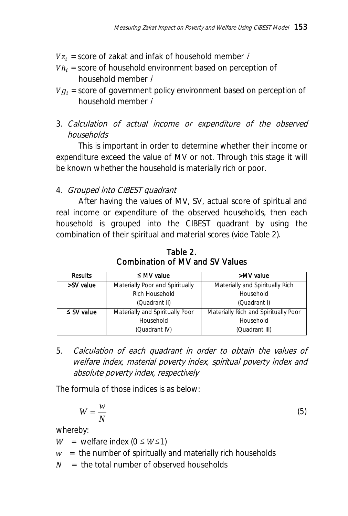- $Vz_i$  = score of zakat and infak of household member i
- $V h_i$  = score of household environment based on perception of household member i
- $V g_i$  = score of government policy environment based on perception of household member i
- 3. Calculation of actual income or expenditure of the observed households

This is important in order to determine whether their income or expenditure exceed the value of MV or not. Through this stage it will be known whether the household is materially rich or poor.

### 4. Grouped into CIBEST quadrant

After having the values of MV, SV, actual score of spiritual and real income or expenditure of the observed households, then each household is grouped into the CIBEST quadrant by using the combination of their spiritual and material scores (vide Table 2).

| <b>Results</b>  | $\leq M/V$ value                | >MV value                            |  |
|-----------------|---------------------------------|--------------------------------------|--|
| >SV value       | Materially Poor and Spiritually | Materially and Spiritually Rich      |  |
|                 | Rich Household                  | Household                            |  |
|                 | (Quadrant II)                   | (Quadrant I)                         |  |
| $\leq$ SV value | Materially and Spiritually Poor | Materially Rich and Spiritually Poor |  |
|                 | Household                       | Household                            |  |
|                 | (Quadrant IV)                   | (Quadrant III)                       |  |

Table 2. Combination of MV and SV Values

5. Calculation of each quadrant in order to obtain the values of welfare index, material poverty index, spiritual poverty index and absolute poverty index, respectively

The formula of those indices is as below:

$$
W = \frac{w}{N} \tag{5}
$$

whereby:

 $W =$  welfare index (0  $\leq$   $W \leq 1$ )

- $w =$  the number of spiritually and materially rich households
- $N =$  the total number of observed households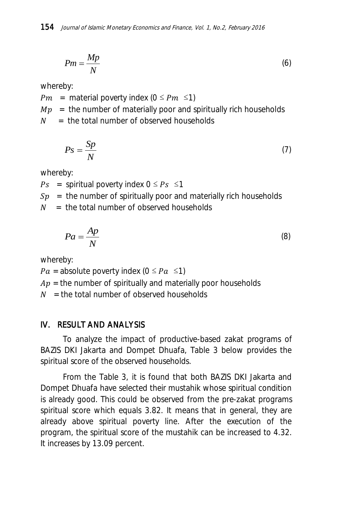$$
Pm = \frac{Mp}{N} \tag{6}
$$

whereby:

 $Pm =$  material poverty index (0  $\leq Pm \leq 1$ )

 $Mp =$  the number of materially poor and spiritually rich households

 $N =$  the total number of observed households

$$
Ps = \frac{Sp}{N} \tag{7}
$$

whereby:

 $Ps =$  spiritual poverty index  $0 \le Ps \le 1$ 

 $Sp =$  the number of spiritually poor and materially rich households

 $N =$  the total number of observed households

$$
Pa = \frac{Ap}{N} \tag{8}
$$

whereby:

 $Pa =$  absolute poverty index (0  $\leq Pa \leq$ 1)

 $Ap =$  the number of spiritually and materially poor households

 $N =$  the total number of observed households

### IV. RESULT AND ANALYSIS

To analyze the impact of productive-based zakat programs of BAZIS DKI Jakarta and Dompet Dhuafa, Table 3 below provides the spiritual score of the observed households.

From the Table 3, it is found that both BAZIS DKI Jakarta and Dompet Dhuafa have selected their mustahik whose spiritual condition is already good. This could be observed from the pre-zakat programs spiritual score which equals 3.82. It means that in general, they are already above spiritual poverty line. After the execution of the program, the spiritual score of the mustahik can be increased to 4.32. It increases by 13.09 percent.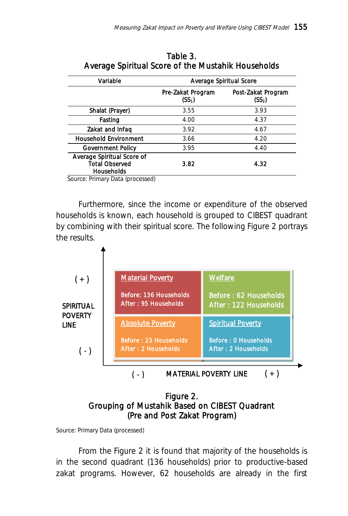| Variable                                                          | Average Spiritual Score    |                                          |  |  |
|-------------------------------------------------------------------|----------------------------|------------------------------------------|--|--|
|                                                                   | Pre-Zakat Program<br>(SS-) | Post-Zakat Program<br>(SS <sub>2</sub> ) |  |  |
| Shalat (Prayer)                                                   | 3.55                       | 3.93                                     |  |  |
| Fasting                                                           | 4.00                       | 4.37                                     |  |  |
| Zakat and Infaq                                                   | 3.92                       | 4.67                                     |  |  |
| <b>Household Environment</b>                                      | 3.66                       | 4.20                                     |  |  |
| Government Policy                                                 | 3.95                       | 4.40                                     |  |  |
| Average Spiritual Score of<br><b>Total Observed</b><br>Households | 3.82                       | 4.32                                     |  |  |

Table 3. Average Spiritual Score of the Mustahik Households

Source: Primary Data (processed)

Furthermore, since the income or expenditure of the observed households is known, each household is grouped to CIBEST quadrant by combining with their spiritual score. The following Figure 2 portrays the results.



#### Figure 2. Grouping of Mustahik Based on CIBEST Quadrant (Pre and Post Zakat Program)

Source: Primary Data (processed)

From the Figure 2 it is found that majority of the households is in the second quadrant (136 households) prior to productive-based zakat programs. However, 62 households are already in the first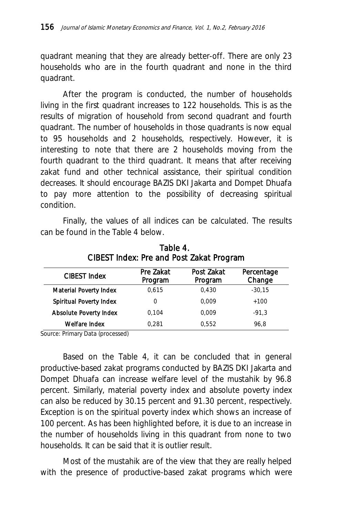quadrant meaning that they are already better-off. There are only 23 households who are in the fourth quadrant and none in the third quadrant.

After the program is conducted, the number of households living in the first quadrant increases to 122 households. This is as the results of migration of household from second quadrant and fourth quadrant. The number of households in those quadrants is now equal to 95 households and 2 households, respectively. However, it is interesting to note that there are 2 households moving from the fourth quadrant to the third quadrant. It means that after receiving zakat fund and other technical assistance, their spiritual condition decreases. It should encourage BAZIS DKI Jakarta and Dompet Dhuafa to pay more attention to the possibility of decreasing spiritual condition.

Finally, the values of all indices can be calculated. The results can be found in the Table 4 below.

| CIBEST Index            | Pre Zakat<br>Program | Post Zakat<br>Program | Percentage<br>Change |  |
|-------------------------|----------------------|-----------------------|----------------------|--|
| Material Poverty Index  | 0.615                | 0.430                 | $-30.15$             |  |
| Spiritual Poverty Index | 0                    | 0.009                 | $+100$               |  |
| Absolute Poverty Index  | 0.104                | 0.009                 | $-91.3$              |  |
| Welfare Index           | 0.281                | 0.552                 | 96.8                 |  |

Table 4. CIBEST Index: Pre and Post Zakat Program

Source: Primary Data (processed)

Based on the Table 4, it can be concluded that in general productive-based zakat programs conducted by BAZIS DKI Jakarta and Dompet Dhuafa can increase welfare level of the mustahik by 96.8 percent. Similarly, material poverty index and absolute poverty index can also be reduced by 30.15 percent and 91.30 percent, respectively. Exception is on the spiritual poverty index which shows an increase of 100 percent. As has been highlighted before, it is due to an increase in the number of households living in this quadrant from none to two households. It can be said that it is outlier result.

Most of the mustahik are of the view that they are really helped with the presence of productive-based zakat programs which were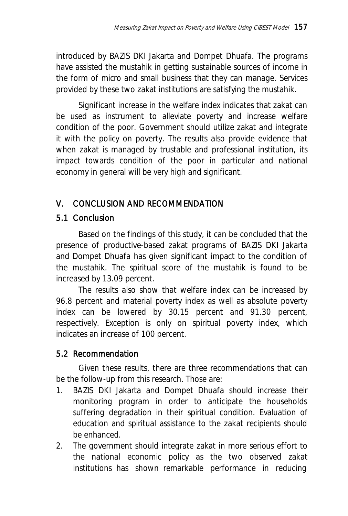introduced by BAZIS DKI Jakarta and Dompet Dhuafa. The programs have assisted the mustahik in getting sustainable sources of income in the form of micro and small business that they can manage. Services provided by these two zakat institutions are satisfying the mustahik.

Significant increase in the welfare index indicates that zakat can be used as instrument to alleviate poverty and increase welfare condition of the poor. Government should utilize zakat and integrate it with the policy on poverty. The results also provide evidence that when zakat is managed by trustable and professional institution, its impact towards condition of the poor in particular and national economy in general will be very high and significant.

## V. CONCLUSION AND RECOMMENDATION

## 5.1 Conclusion

Based on the findings of this study, it can be concluded that the presence of productive-based zakat programs of BAZIS DKI Jakarta and Dompet Dhuafa has given significant impact to the condition of the mustahik. The spiritual score of the mustahik is found to be increased by 13.09 percent.

The results also show that welfare index can be increased by 96.8 percent and material poverty index as well as absolute poverty index can be lowered by 30.15 percent and 91.30 percent, respectively. Exception is only on spiritual poverty index, which indicates an increase of 100 percent.

## 5.2 Recommendation

Given these results, there are three recommendations that can be the follow-up from this research. Those are:

- 1. BAZIS DKI Jakarta and Dompet Dhuafa should increase their monitoring program in order to anticipate the households suffering degradation in their spiritual condition. Evaluation of education and spiritual assistance to the zakat recipients should be enhanced.
- 2. The government should integrate zakat in more serious effort to the national economic policy as the two observed zakat institutions has shown remarkable performance in reducing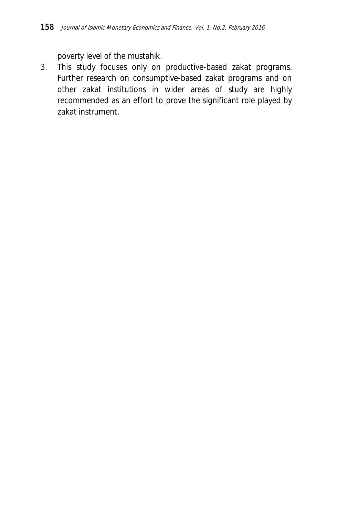poverty level of the mustahik.

3. This study focuses only on productive-based zakat programs. Further research on consumptive-based zakat programs and on other zakat institutions in wider areas of study are highly recommended as an effort to prove the significant role played by zakat instrument.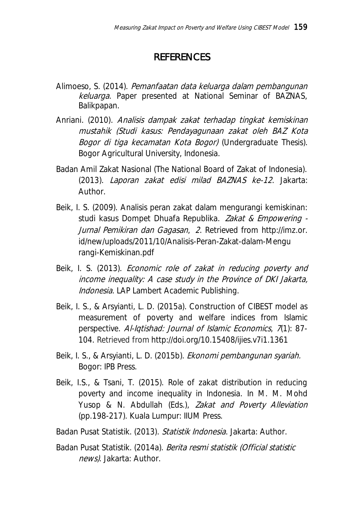# **REFERENCES**

- Alimoeso, S. (2014). Pemanfaatan data keluarga dalam pembangunan keluarga. Paper presented at National Seminar of BAZNAS, Balikpapan.
- Anriani. (2010). Analisis dampak zakat terhadap tingkat kemiskinan mustahik (Studi kasus: Pendayagunaan zakat oleh BAZ Kota Bogor di tiga kecamatan Kota Bogor) (Undergraduate Thesis). Bogor Agricultural University, Indonesia.
- Badan Amil Zakat Nasional (The National Board of Zakat of Indonesia). (2013). Laporan zakat edisi milad BAZNAS ke-12. Jakarta: Author.
- Beik, I. S. (2009). Analisis peran zakat dalam mengurangi kemiskinan: studi kasus Dompet Dhuafa Republika. Zakat & Empowering - Jurnal Pemikiran dan Gagasan, <sup>2</sup>. Retrieved from http://imz.or. id/new/uploads/2011/10/Analisis-Peran-Zakat-dalam-Mengu rangi-Kemiskinan.pdf
- Beik, I. S. (2013). *Economic role of zakat in reducing poverty and* income inequality: A case study in the Province of DKI Jakarta, Indonesia. LAP Lambert Academic Publishing.
- Beik, I. S., & Arsyianti, L. D. (2015a). Construction of CIBEST model as measurement of poverty and welfare indices from Islamic perspective. Al-Igtishad: Journal of Islamic Economics, 7(1): 87-104. Retrieved from <http://doi.org/10.15408/ijies.v7i1.1361>
- Beik, I. S., & Arsyianti, L. D. (2015b). Ekonomi pembangunan syariah. Bogor: IPB Press.
- Beik, I.S., & Tsani, T. (2015). Role of zakat distribution in reducing poverty and income inequality in Indonesia. In M. M. Mohd Yusop & N. Abdullah (Eds.), Zakat and Poverty Alleviation (pp.198-217). Kuala Lumpur: IIUM Press.
- Badan Pusat Statistik. (2013). Statistik Indonesia. Jakarta: Author.
- Badan Pusat Statistik. (2014a). Berita resmi statistik (Official statistic news). Jakarta: Author.